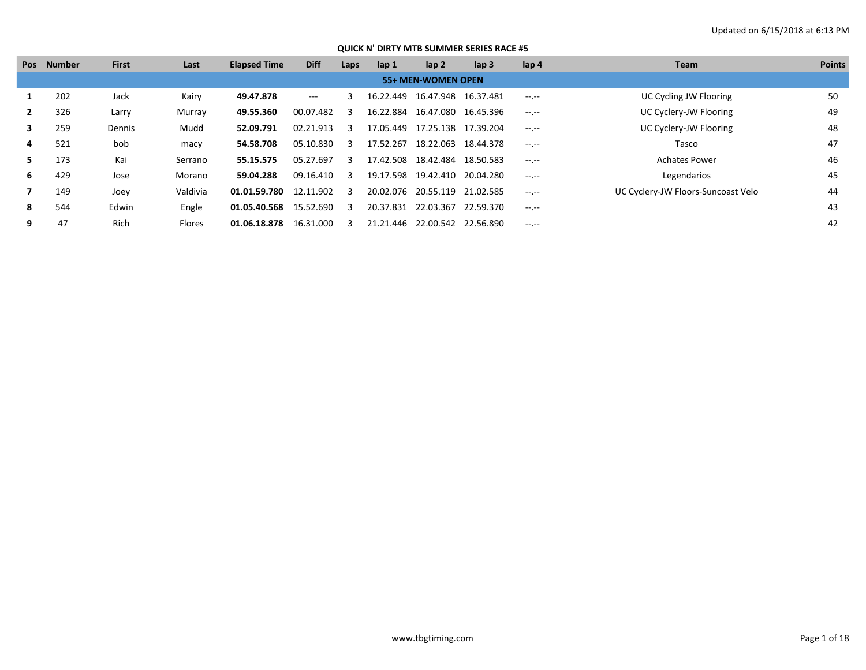|    | Pos Number | <b>First</b> | Last     | <b>Elapsed Time</b> | <b>Diff</b> | Laps | lap 1     | lap <sub>2</sub>                | lap <sub>3</sub> | lap 4            | Team                               | <b>Points</b> |
|----|------------|--------------|----------|---------------------|-------------|------|-----------|---------------------------------|------------------|------------------|------------------------------------|---------------|
|    |            |              |          |                     |             |      |           | 55+ MEN-WOMEN OPEN              |                  |                  |                                    |               |
|    | 202        | Jack         | Kairy    | 49.47.878           | $---$       |      |           | 16.22.449 16.47.948             | 16.37.481        | $-1.1 - 1.0$     | <b>UC Cycling JW Flooring</b>      | 50            |
|    | 326        | Larry        | Murray   | 49.55.360           | 00.07.482   |      |           | 16.22.884 16.47.080 16.45.396   |                  | $-1$ , $-1$      | UC Cyclery-JW Flooring             | 49            |
| 3  | 259        | Dennis       | Mudd     | 52.09.791           | 02.21.913   |      |           | 17.05.449  17.25.138  17.39.204 |                  | $-1$ , $-1$      | UC Cyclery-JW Flooring             | 48            |
| 4  | 521        | bob          | macy     | 54.58.708           | 05.10.830   |      | 17.52.267 | 18.22.063                       | 18.44.378        | $-1$ , $-1$      | Tasco                              | 47            |
| 5. | 173        | Kai          | Serrano  | 55.15.575           | 05.27.697   |      |           | 17.42.508  18.42.484  18.50.583 |                  | $-1$ , $-1$      | <b>Achates Power</b>               | 46            |
| 6  | 429        | Jose         | Morano   | 59.04.288           | 09.16.410   |      |           | 19.17.598 19.42.410 20.04.280   |                  | $-1$ , $-1$      | Legendarios                        | 45            |
|    | 149        | Joey         | Valdivia | 01.01.59.780        | 12.11.902   |      |           | 20.02.076 20.55.119             | 21.02.585        | $-1$ , $-1$      | UC Cyclery-JW Floors-Suncoast Velo | 44            |
| 8  | 544        | Edwin        | Engle    | 01.05.40.568        | 15.52.690   |      |           | 20.37.831 22.03.367             | 22.59.370        | $-1$ , $-1$      |                                    | 43            |
| 9  | 47         | Rich         | Flores   | 01.06.18.878        | 16.31.000   |      |           | 21.21.446 22.00.542             | 22.56.890        | $-1 - 1 - 1 = 0$ |                                    | 42            |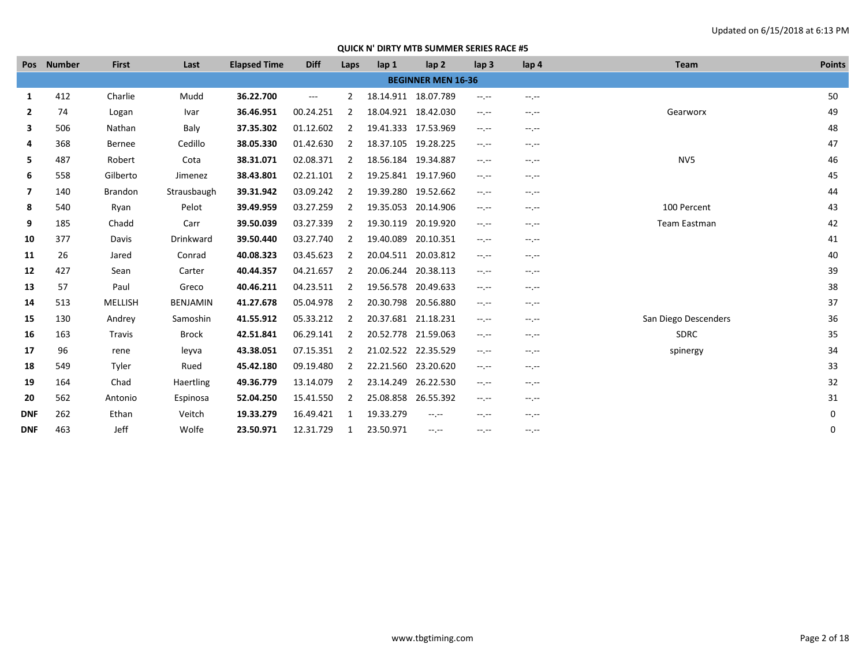|                | Pos Number | <b>First</b>   | Last            | <b>Elapsed Time</b> | <b>Diff</b> | Laps           | lap <sub>1</sub>    | lap <sub>2</sub>          | lap <sub>3</sub>              | lap 4       | <b>Team</b>          | <b>Points</b> |
|----------------|------------|----------------|-----------------|---------------------|-------------|----------------|---------------------|---------------------------|-------------------------------|-------------|----------------------|---------------|
|                |            |                |                 |                     |             |                |                     | <b>BEGINNER MEN 16-36</b> |                               |             |                      |               |
| 1              | 412        | Charlie        | Mudd            | 36.22.700           | $---$       | 2              | 18.14.911 18.07.789 |                           | $-1$                          | --.--       |                      | 50            |
| $\mathbf{2}$   | 74         | Logan          | Ivar            | 36.46.951           | 00.24.251   | 2              | 18.04.921 18.42.030 |                           | $-1, -1$                      | $-1, -1$    | Gearworx             | 49            |
| 3              | 506        | Nathan         | Baly            | 37.35.302           | 01.12.602   | 2              | 19.41.333 17.53.969 |                           | $-1$                          | $-1.1$      |                      | 48            |
| 4              | 368        | <b>Bernee</b>  | Cedillo         | 38.05.330           | 01.42.630   | $\overline{2}$ | 18.37.105 19.28.225 |                           | $-1$                          | $-1$        |                      | 47            |
| 5              | 487        | Robert         | Cota            | 38.31.071           | 02.08.371   | $\overline{2}$ | 18.56.184 19.34.887 |                           | $-1$                          | $-1.1 -$    | NV <sub>5</sub>      | 46            |
| 6              | 558        | Gilberto       | Jimenez         | 38.43.801           | 02.21.101   | $\overline{2}$ | 19.25.841 19.17.960 |                           | $-1, -1$                      | $-1.1 -$    |                      | 45            |
| $\overline{7}$ | 140        | <b>Brandon</b> | Strausbaugh     | 39.31.942           | 03.09.242   | 2              | 19.39.280           | 19.52.662                 | $-1$                          | --.--       |                      | 44            |
| 8              | 540        | Ryan           | Pelot           | 39.49.959           | 03.27.259   | 2              | 19.35.053           | 20.14.906                 | $-1$                          | $-1$        | 100 Percent          | 43            |
| 9              | 185        | Chadd          | Carr            | 39.50.039           | 03.27.339   | 2              | 19.30.119           | 20.19.920                 | $-1$                          | $-1$        | Team Eastman         | 42            |
| 10             | 377        | Davis          | Drinkward       | 39.50.440           | 03.27.740   | $\overline{2}$ | 19.40.089           | 20.10.351                 | $-1, -1$                      | --.--       |                      | 41            |
| 11             | 26         | Jared          | Conrad          | 40.08.323           | 03.45.623   | 2              | 20.04.511 20.03.812 |                           | $-1$                          | $-1.1 -$    |                      | 40            |
| 12             | 427        | Sean           | Carter          | 40.44.357           | 04.21.657   | $\overline{2}$ | 20.06.244 20.38.113 |                           | $-1$                          | $-1$        |                      | 39            |
| 13             | 57         | Paul           | Greco           | 40.46.211           | 04.23.511   | $\overline{2}$ | 19.56.578 20.49.633 |                           | $-1, -1$                      | $-1.1 -$    |                      | 38            |
| 14             | 513        | <b>MELLISH</b> | <b>BENJAMIN</b> | 41.27.678           | 05.04.978   | $\overline{2}$ | 20.30.798 20.56.880 |                           | $-1, -1$                      | --.--       |                      | 37            |
| 15             | 130        | Andrey         | Samoshin        | 41.55.912           | 05.33.212   | 2              | 20.37.681 21.18.231 |                           | $-1$                          | $-1.1 -$    | San Diego Descenders | 36            |
| 16             | 163        | Travis         | <b>Brock</b>    | 42.51.841           | 06.29.141   | 2              | 20.52.778           | 21.59.063                 | $-1$                          | $-1$ , $-1$ | <b>SDRC</b>          | 35            |
| 17             | 96         | rene           | leyva           | 43.38.051           | 07.15.351   | $\overline{2}$ | 21.02.522 22.35.529 |                           | $\rightarrow$ , $\rightarrow$ | $-1$        | spinergy             | 34            |
| 18             | 549        | Tyler          | Rued            | 45.42.180           | 09.19.480   | $\overline{2}$ | 22.21.560 23.20.620 |                           | $-1$                          | --.--       |                      | 33            |
| 19             | 164        | Chad           | Haertling       | 49.36.779           | 13.14.079   | $\overline{2}$ | 23.14.249           | 26.22.530                 | $-1$                          | $-1.1 -$    |                      | 32            |
| 20             | 562        | Antonio        | Espinosa        | 52.04.250           | 15.41.550   | 2              | 25.08.858 26.55.392 |                           | $-1$                          | $-1$        |                      | 31            |
| <b>DNF</b>     | 262        | Ethan          | Veitch          | 19.33.279           | 16.49.421   | 1              | 19.33.279           | $-1$ , $-1$               | $-1$                          | $-1.1 -$    |                      | 0             |
| <b>DNF</b>     | 463        | Jeff           | Wolfe           | 23.50.971           | 12.31.729   | 1              | 23.50.971           | $-1.1 - 1.0$              | --.--                         | --.--       |                      | 0             |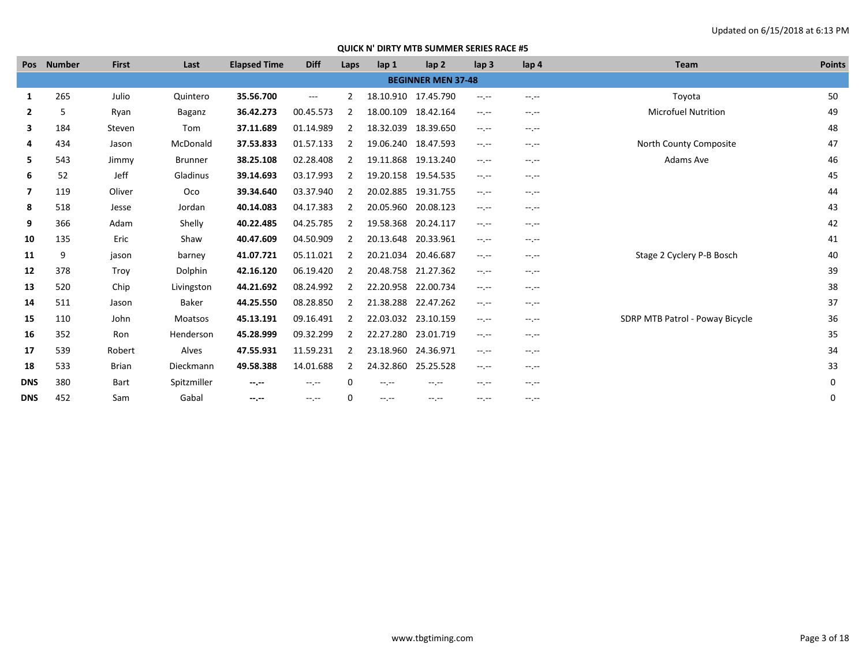| Pos            | <b>Number</b> | <b>First</b> | Last           | <b>Elapsed Time</b> | <b>Diff</b> | Laps           | lap <sub>1</sub>    | lap <sub>2</sub>          | lap <sub>3</sub> | lap 4        | <b>Team</b>                     | <b>Points</b> |
|----------------|---------------|--------------|----------------|---------------------|-------------|----------------|---------------------|---------------------------|------------------|--------------|---------------------------------|---------------|
|                |               |              |                |                     |             |                |                     | <b>BEGINNER MEN 37-48</b> |                  |              |                                 |               |
| 1              | 265           | Julio        | Quintero       | 35.56.700           | $---$       | $\mathcal{P}$  | 18.10.910           | 17.45.790                 | --.--            | $-1$ .       | Toyota                          | 50            |
| $\mathbf{2}$   | 5             | Ryan         | Baganz         | 36.42.273           | 00.45.573   | 2              | 18.00.109 18.42.164 |                           | $-1$             | $-1.1 -$     | <b>Microfuel Nutrition</b>      | 49            |
| 3              | 184           | Steven       | Tom            | 37.11.689           | 01.14.989   | 2              | 18.32.039 18.39.650 |                           | --.--            | $-1.1 -$     |                                 | 48            |
| 4              | 434           | Jason        | McDonald       | 37.53.833           | 01.57.133   | 2              |                     | 19.06.240 18.47.593       | --.--            | $-1$ , $-1$  | North County Composite          | 47            |
| 5.             | 543           | Jimmy        | <b>Brunner</b> | 38.25.108           | 02.28.408   | 2              |                     | 19.11.868 19.13.240       | --.--            | $-1.1 -$     | Adams Ave                       | 46            |
| 6              | 52            | Jeff         | Gladinus       | 39.14.693           | 03.17.993   | 2              | 19.20.158 19.54.535 |                           | --.--            | $-1.1 -$     |                                 | 45            |
| $\overline{7}$ | 119           | Oliver       | Oco            | 39.34.640           | 03.37.940   | 2              |                     | 20.02.885 19.31.755       | $-1$             | $-1.1 -$     |                                 | 44            |
| 8              | 518           | Jesse        | Jordan         | 40.14.083           | 04.17.383   | 2              | 20.05.960           | 20.08.123                 | --.--            | $-1.1 -$     |                                 | 43            |
| 9              | 366           | Adam         | Shelly         | 40.22.485           | 04.25.785   | 2              | 19.58.368           | 20.24.117                 | --.--            | $-1$ , $-1$  |                                 | 42            |
| 10             | 135           | Eric         | Shaw           | 40.47.609           | 04.50.909   |                | 20.13.648 20.33.961 |                           | --.--            | $-1.1 -$     |                                 | 41            |
| 11             | 9             | jason        | barney         | 41.07.721           | 05.11.021   | 2              | 20.21.034           | 20.46.687                 | --.--            | $-1.1 -$     | Stage 2 Cyclery P-B Bosch       | 40            |
| 12             | 378           | Troy         | Dolphin        | 42.16.120           | 06.19.420   | 2              | 20.48.758 21.27.362 |                           | --.--            | $-1.1 - 1.0$ |                                 | 39            |
| 13             | 520           | Chip         | Livingston     | 44.21.692           | 08.24.992   | 2              | 22.20.958 22.00.734 |                           | $-1$             | $-1.1 -$     |                                 | 38            |
| 14             | 511           | Jason        | Baker          | 44.25.550           | 08.28.850   |                | 21.38.288           | 22.47.262                 | $-1$ , $-1$      | $-1$ , $-1$  |                                 | 37            |
| 15             | 110           | John         | Moatsos        | 45.13.191           | 09.16.491   | 2              | 22.03.032 23.10.159 |                           | $-1$ , $-1$      | $-1.1 -$     | SDRP MTB Patrol - Poway Bicycle | 36            |
| 16             | 352           | Ron          | Henderson      | 45.28.999           | 09.32.299   | 2              | 22.27.280           | 23.01.719                 | --.--            | $-1.1 - 1.0$ |                                 | 35            |
| 17             | 539           | Robert       | Alves          | 47.55.931           | 11.59.231   |                | 23.18.960 24.36.971 |                           | --.--            | $-1.1 -$     |                                 | 34            |
| 18             | 533           | Brian        | Dieckmann      | 49.58.388           | 14.01.688   | $\overline{2}$ | 24.32.860           | 25.25.528                 | --.--            | $-1.1 -$     |                                 | 33            |
| <b>DNS</b>     | 380           | Bart         | Spitzmiller    | $-1$                | $-1, -1$    | 0              | $-1$ , $-1$         | $-1$                      | --.--            | $-1.1 -$     |                                 | 0             |
| <b>DNS</b>     | 452           | Sam          | Gabal          | $-1$ .              | $-1$ , $-1$ | 0              | $-1$ , $-1$         | $-1$ , $-1$               | --.--            | $-1.1 -$     |                                 | 0             |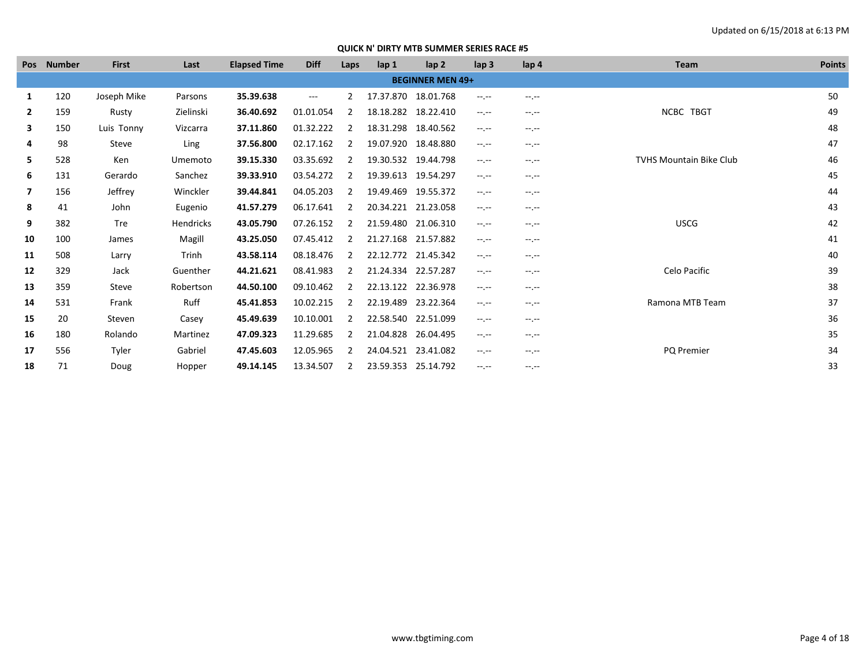|                | Pos Number | <b>First</b> | Last             | <b>Elapsed Time</b> | <b>Diff</b>         | Laps           | lap 1               | lap <sub>2</sub>        | lap <sub>3</sub>                                                                               | lap <sub>4</sub> | Team                           | <b>Points</b> |
|----------------|------------|--------------|------------------|---------------------|---------------------|----------------|---------------------|-------------------------|------------------------------------------------------------------------------------------------|------------------|--------------------------------|---------------|
|                |            |              |                  |                     |                     |                |                     | <b>BEGINNER MEN 49+</b> |                                                                                                |                  |                                |               |
| 1              | 120        | Joseph Mike  | Parsons          | 35.39.638           | $\qquad \qquad - -$ | $\overline{2}$ | 17.37.870 18.01.768 |                         | $-1.1 - 1.0$                                                                                   | $-1$ , $-1$      |                                | 50            |
| $\mathbf{2}$   | 159        | Rusty        | Zielinski        | 36.40.692           | 01.01.054           |                |                     | 18.18.282 18.22.410     | $-1.1 - 1.0$                                                                                   | $-1.1 -$         | NCBC TBGT                      | 49            |
| 3              | 150        | Luis Tonny   | Vizcarra         | 37.11.860           | 01.32.222           |                | 18.31.298           | 18.40.562               | $-1.1 - 1.0$                                                                                   | $-1 - 1 - 1 = 0$ |                                | 48            |
| 4              | 98         | Steve        | Ling             | 37.56.800           | 02.17.162           |                | 19.07.920           | 18.48.880               | $-1.1 - 1.0$                                                                                   | $-1.1 -$         |                                | 47            |
| 5.             | 528        | Ken          | Umemoto          | 39.15.330           | 03.35.692           |                | 19.30.532           | 19.44.798               | $-1.1 - 1.0$                                                                                   | $-1 - 1 - 1 = 0$ | <b>TVHS Mountain Bike Club</b> | 46            |
| 6              | 131        | Gerardo      | Sanchez          | 39.33.910           | 03.54.272           |                | 19.39.613 19.54.297 |                         | $\frac{1}{2} \left( \frac{1}{2} \right) \left( \frac{1}{2} \right) \left( \frac{1}{2} \right)$ | $-1.1 -$         |                                | 45            |
| $\overline{ }$ | 156        | Jeffrey      | Winckler         | 39.44.841           | 04.05.203           | 2              | 19.49.469 19.55.372 |                         | $\frac{1}{2} \left( \frac{1}{2} \right) \left( \frac{1}{2} \right) \left( \frac{1}{2} \right)$ | $-1.1 -$         |                                | 44            |
| 8              | 41         | John         | Eugenio          | 41.57.279           | 06.17.641           |                | 20.34.221 21.23.058 |                         | $-1.1 - 1.0$                                                                                   | $-1.1 -$         |                                | 43            |
| 9              | 382        | Tre          | <b>Hendricks</b> | 43.05.790           | 07.26.152           | 2              | 21.59.480 21.06.310 |                         | $-1.1 - 1.0$                                                                                   | $-1$ , $-1$      | <b>USCG</b>                    | 42            |
| 10             | 100        | James        | Magill           | 43.25.050           | 07.45.412           |                |                     | 21.27.168 21.57.882     | $-1.1 - 1.0$                                                                                   | $-1.1 -$         |                                | 41            |
| 11             | 508        | Larry        | Trinh            | 43.58.114           | 08.18.476           | 2              |                     | 22.12.772 21.45.342     | $-1.1 - 1.0$                                                                                   | $-1.1 -$         |                                | 40            |
| 12             | 329        | Jack         | Guenther         | 44.21.621           | 08.41.983           |                | 21.24.334 22.57.287 |                         | $-1.1 - 1.0$                                                                                   | $-1 - 1 - 1 = 0$ | Celo Pacific                   | 39            |
| 13             | 359        | Steve        | Robertson        | 44.50.100           | 09.10.462           |                | 22.13.122 22.36.978 |                         | $-1.1 - 1.0$                                                                                   | $-1$ , $-1$      |                                | 38            |
| 14             | 531        | Frank        | Ruff             | 45.41.853           | 10.02.215           |                | 22.19.489 23.22.364 |                         | $-1.1 - 1.0$                                                                                   | --.--            | Ramona MTB Team                | 37            |
| 15             | 20         | Steven       | Casey            | 45.49.639           | 10.10.001           |                |                     | 22.58.540 22.51.099     | $\frac{1}{2} \left( \frac{1}{2} \right) \left( \frac{1}{2} \right) \left( \frac{1}{2} \right)$ | $-1.1 -$         |                                | 36            |
| 16             | 180        | Rolando      | Martinez         | 47.09.323           | 11.29.685           | 2              | 21.04.828           | 26.04.495               | $-1.1 - 1.0$                                                                                   | $-1 - 1 - 1 = 0$ |                                | 35            |
| 17             | 556        | Tyler        | Gabriel          | 47.45.603           | 12.05.965           | 2              | 24.04.521           | 23.41.082               | $-1.1 - 1.0$                                                                                   | $-1.1 -$         | PQ Premier                     | 34            |
| 18             | 71         | Doug         | Hopper           | 49.14.145           | 13.34.507           | 2              | 23.59.353 25.14.792 |                         | $-1$ , $-1$                                                                                    | $-1$ .           |                                | 33            |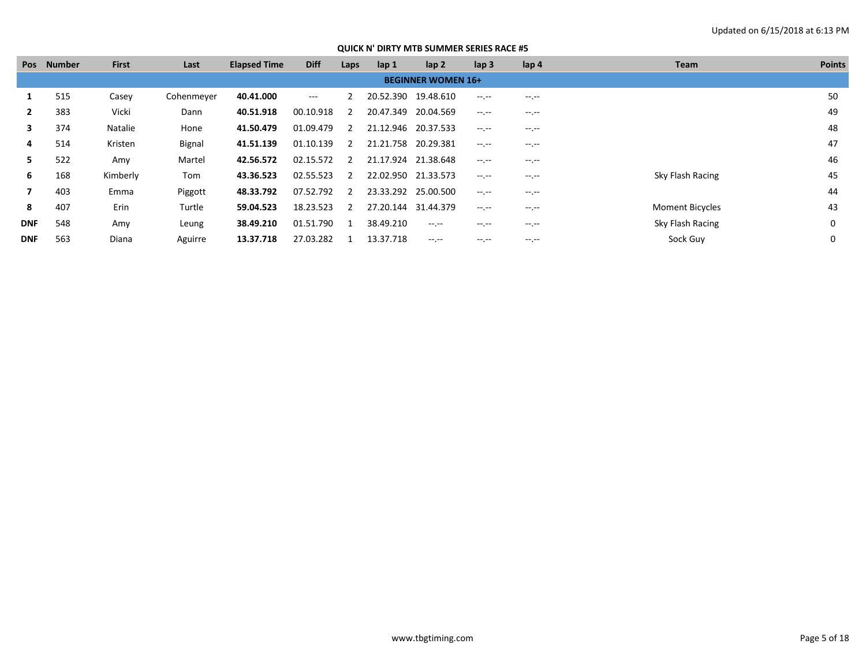| Pos        | <b>Number</b> | <b>First</b> | Last       | <b>Elapsed Time</b> | <b>Diff</b> | Laps          | lap 1               | lap <sub>2</sub>          | lap <sub>3</sub> | lap 4       | Team                   | <b>Points</b> |
|------------|---------------|--------------|------------|---------------------|-------------|---------------|---------------------|---------------------------|------------------|-------------|------------------------|---------------|
|            |               |              |            |                     |             |               |                     | <b>BEGINNER WOMEN 16+</b> |                  |             |                        |               |
|            | 515           | Casey        | Cohenmeyer | 40.41.000           | $---$       |               |                     | 20.52.390 19.48.610       | $-1$ , $-1$      | $-1$ .      |                        | 50            |
|            | 383           | Vicki        | Dann       | 40.51.918           | 00.10.918   | 2             |                     | 20.47.349 20.04.569       | $-1$ , $-1$      | $-1$ , $-1$ |                        | 49            |
| 3          | 374           | Natalie      | Hone       | 41.50.479           | 01.09.479   | 2             | 21.12.946 20.37.533 |                           | $-1$ , $-1$      | $-1$ , $-1$ |                        | 48            |
| 4          | 514           | Kristen      | Bignal     | 41.51.139           | 01.10.139   | 2             | 21.21.758 20.29.381 |                           | $-1$ , $-1$      | $-1.1$      |                        | 47            |
| 5.         | 522           | Amy          | Martel     | 42.56.572           | 02.15.572   | $\mathcal{L}$ | 21.17.924 21.38.648 |                           | $-1$ .           | $-1$ .      |                        | 46            |
| 6          | 168           | Kimberly     | Tom        | 43.36.523           | 02.55.523   | 2             |                     | 22.02.950 21.33.573       | $-1$ .           | $-1, -1$    | Sky Flash Racing       | 45            |
|            | 403           | Emma         | Piggott    | 48.33.792           | 07.52.792   |               |                     | 23.33.292 25.00.500       | $-1$ .           | --.--       |                        | 44            |
| 8          | 407           | Erin         | Turtle     | 59.04.523           | 18.23.523   | $\mathcal{L}$ |                     | 27.20.144 31.44.379       | $-1$ .           | $-1$ .      | <b>Moment Bicycles</b> | 43            |
| <b>DNF</b> | 548           | Amy          | Leung      | 38.49.210           | 01.51.790   |               | 38.49.210           | $-1$ , $-1$               | $-1.1 -$         | $-1$ , $-1$ | Sky Flash Racing       | 0             |
| <b>DNF</b> | 563           | Diana        | Aguirre    | 13.37.718           | 27.03.282   |               | 13.37.718           | $-1$ , $-1$               | $-1.1 -$         | $-1.1$      | Sock Guy               |               |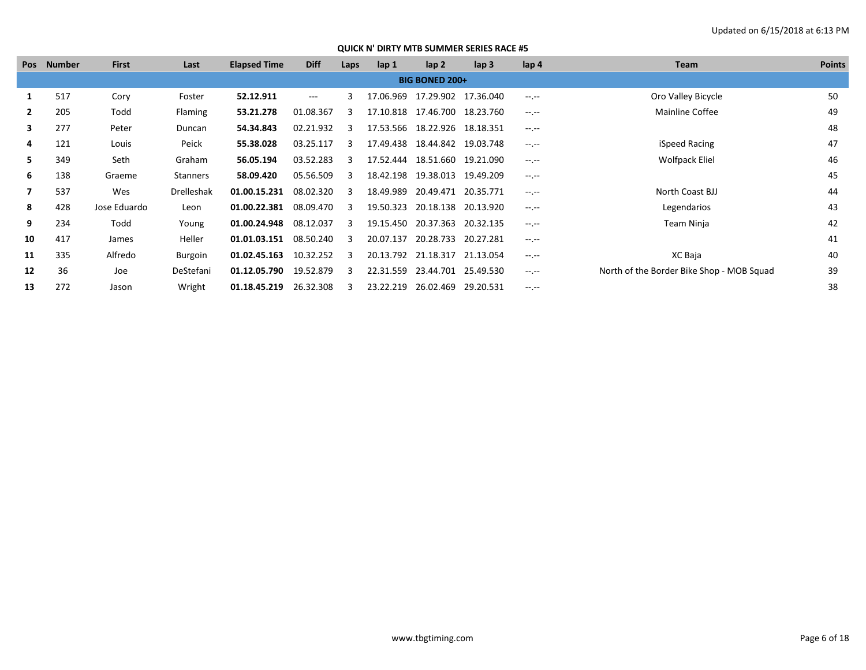| Pos          | Number | <b>First</b> | Last              | <b>Elapsed Time</b> | <b>Diff</b> | Laps | $\mathsf{lap} 1$ | lap <sub>2</sub>                | lap <sub>3</sub> | lap 4       | Team                                      | <b>Points</b> |
|--------------|--------|--------------|-------------------|---------------------|-------------|------|------------------|---------------------------------|------------------|-------------|-------------------------------------------|---------------|
|              |        |              |                   |                     |             |      |                  | <b>BIG BONED 200+</b>           |                  |             |                                           |               |
|              | 517    | Cory         | Foster            | 52.12.911           | $\cdots$    |      | 17.06.969        | 17.29.902 17.36.040             |                  | $-1$ , $-1$ | Oro Valley Bicycle                        | 50            |
| $\mathbf{2}$ | 205    | Todd         | <b>Flaming</b>    | 53.21.278           | 01.08.367   |      |                  | 17.10.818 17.46.700 18.23.760   |                  | $-1$ , $-1$ | Mainline Coffee                           | 49            |
| 3            | 277    | Peter        | Duncan            | 54.34.843           | 02.21.932   |      | 17.53.566        | 18.22.926                       | 18.18.351        | $-1$ , $-1$ |                                           | 48            |
| 4            | 121    | Louis        | Peick             | 55.38.028           | 03.25.117   | २    |                  | 17.49.438  18.44.842  19.03.748 |                  | $-1$ , $-1$ | iSpeed Racing                             | 47            |
| 5.           | 349    | Seth         | Graham            | 56.05.194           | 03.52.283   |      |                  | 17.52.444 18.51.660             | 19.21.090        | $-1$ , $-1$ | Wolfpack Eliel                            | 46            |
| 6            | 138    | Graeme       | Stanners          | 58.09.420           | 05.56.509   | 3    |                  | 18.42.198 19.38.013 19.49.209   |                  | $-1$ , $-1$ |                                           | 45            |
| 7            | 537    | Wes          | <b>Drelleshak</b> | 01.00.15.231        | 08.02.320   |      | 18.49.989        | 20.49.471 20.35.771             |                  | $-1$ , $-1$ | North Coast BJJ                           | 44            |
| 8            | 428    | Jose Eduardo | Leon              | 01.00.22.381        | 08.09.470   | २    |                  | 19.50.323 20.18.138             | 20.13.920        | $-1$ , $-1$ | Legendarios                               | 43            |
| 9            | 234    | Todd         | Young             | 01.00.24.948        | 08.12.037   |      | 19.15.450        | 20.37.363                       | 20.32.135        | $-1$ , $-1$ | Team Ninja                                | 42            |
| 10           | 417    | James        | Heller            | 01.01.03.151        | 08.50.240   | 3    |                  | 20.07.137 20.28.733             | 20.27.281        | $-1$ , $-1$ |                                           | 41            |
| 11           | 335    | Alfredo      | Burgoin           | 01.02.45.163        | 10.32.252   |      |                  | 20.13.792 21.18.317             | 21.13.054        | $-1$ , $-1$ | XC Baja                                   | 40            |
| 12           | 36     | Joe          | DeStefani         | 01.12.05.790        | 19.52.879   | २    |                  | 22.31.559 23.44.701 25.49.530   |                  | $-1$ , $-1$ | North of the Border Bike Shop - MOB Squad | 39            |
| 13           | 272    | Jason        | Wright            | 01.18.45.219        | 26.32.308   |      | 23.22.219        | 26.02.469                       | 29.20.531        | $-1$ , $-1$ |                                           | 38            |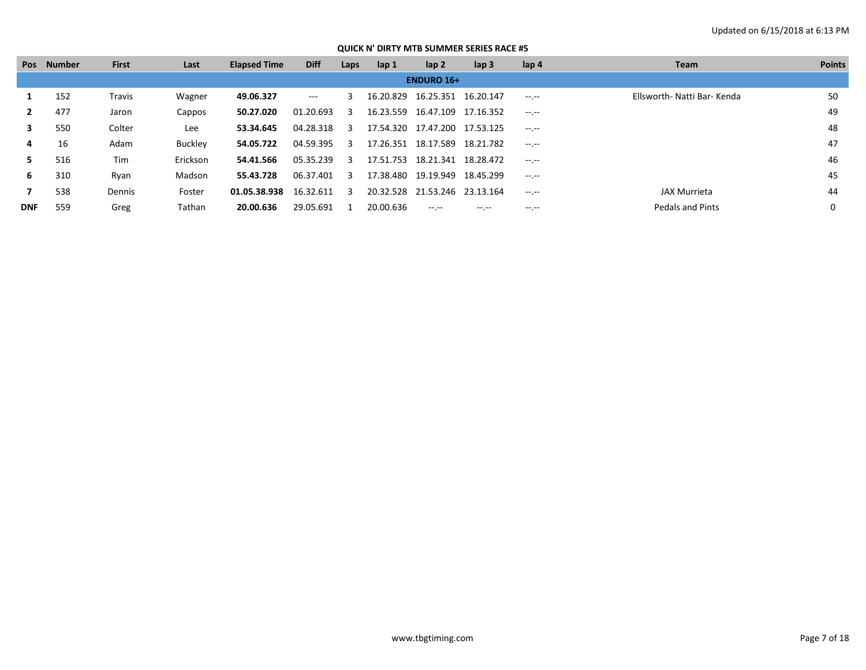|            | Pos Number | <b>First</b> | Last     | <b>Elapsed Time</b> | <b>Diff</b> | Laps           | lap <sub>1</sub> | lap 2                         | lap <sub>3</sub> | lap 4            | <b>Team</b>                 | <b>Points</b> |
|------------|------------|--------------|----------|---------------------|-------------|----------------|------------------|-------------------------------|------------------|------------------|-----------------------------|---------------|
|            |            |              |          |                     |             |                |                  | <b>ENDURO 16+</b>             |                  |                  |                             |               |
|            | 152        | Travis       | Wagner   | 49.06.327           | $\cdots$    | ₹              | 16.20.829        | 16.25.351                     | 16.20.147        | $-1.1 - 1.0$     | Ellsworth- Natti Bar- Kenda | 50            |
|            | 477        | Jaron        | Cappos   | 50.27.020           | 01.20.693   | 3              |                  | 16.23.559 16.47.109           | 17.16.352        | $-1$ , $-1$      |                             | 49            |
| 3          | 550        | Colter       | Lee      | 53.34.645           | 04.28.318 3 |                |                  | 17.54.320 17.47.200 17.53.125 |                  | $-1 - 1 - 1 = 0$ |                             | 48            |
| 4          | 16         | Adam         | Buckley  | 54.05.722           | 04.59.395   | $\overline{3}$ |                  | 17.26.351 18.17.589           | 18.21.782        | $-1$ , $-1$      |                             | 47            |
| 5.         | 516        | Tim          | Erickson | 54.41.566           | 05.35.239   | -3             |                  | 17.51.753 18.21.341           | 18.28.472        | $-1.1$           |                             | 46            |
| 6          | 310        | Ryan         | Madson   | 55.43.728           | 06.37.401   | ર              |                  | 17.38.480 19.19.949           | 18.45.299        | $-1$ , $-1$      |                             | 45            |
|            | 538        | Dennis       | Foster   | 01.05.38.938        | 16.32.611   | 3              |                  | 20.32.528 21.53.246           | 23.13.164        | $-1.1 - 1.0$     | JAX Murrieta                | 44            |
| <b>DNF</b> | 559        | Greg         | Tathan   | 20.00.636           | 29.05.691   |                | 20.00.636        | $- - - - -$                   | $-1.1 -$         | $-1.1$           | <b>Pedals and Pints</b>     |               |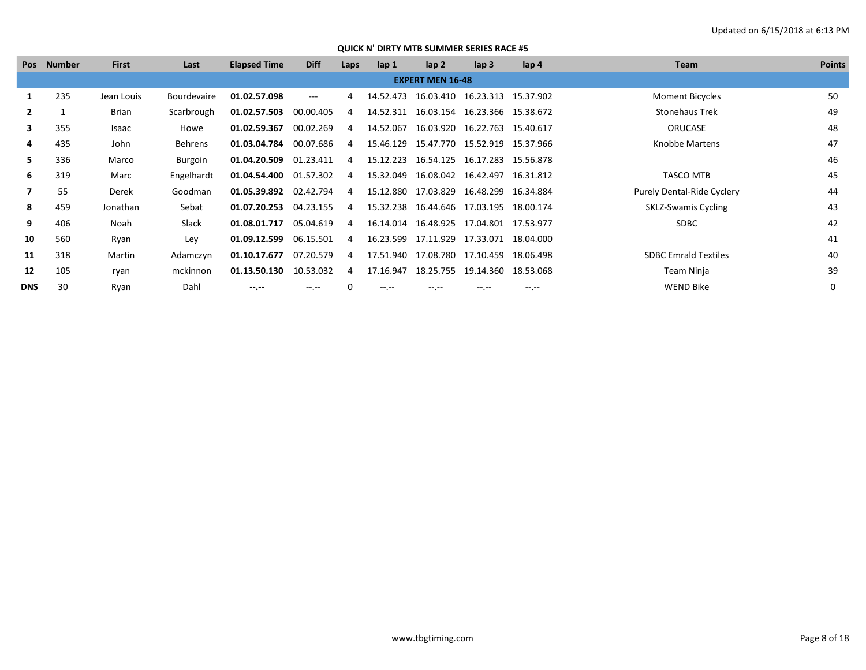|            | Pos Number | <b>First</b> | Last               | <b>Elapsed Time</b> | <b>Diff</b>  | Laps           | lap 1     | lap <sub>2</sub>                           | $\mathsf{lap} 3$    | $\mathsf{lap} \, 4$ | Team                        | <b>Points</b> |
|------------|------------|--------------|--------------------|---------------------|--------------|----------------|-----------|--------------------------------------------|---------------------|---------------------|-----------------------------|---------------|
|            |            |              |                    |                     |              |                |           | <b>EXPERT MEN 16-48</b>                    |                     |                     |                             |               |
|            | 235        | Jean Louis   | <b>Bourdevaire</b> | 01.02.57.098        | $\cdots$     | 4              |           | 14.52.473  16.03.410  16.23.313  15.37.902 |                     |                     | <b>Moment Bicycles</b>      | 50            |
|            |            | Brian        | Scarbrough         | 01.02.57.503        | 00.00.405    | 4              |           | 14.52.311 16.03.154 16.23.366 15.38.672    |                     |                     | <b>Stonehaus Trek</b>       | 49            |
| 3          | 355        | Isaac        | Howe               | 01.02.59.367        | 00.02.269    | 4              | 14.52.067 |                                            | 16.03.920 16.22.763 | 15.40.617           | <b>ORUCASE</b>              | 48            |
| 4          | 435        | John         | Behrens            | 01.03.04.784        | 00.07.686    | 4              |           | 15.46.129  15.47.770  15.52.919  15.37.966 |                     |                     | Knobbe Martens              | 47            |
| 5.         | 336        | Marco        | Burgoin            | 01.04.20.509        | 01.23.411    | 4              |           | 15.12.223 16.54.125                        | 16.17.283           | 15.56.878           |                             | 46            |
| 6          | 319        | Marc         | Engelhardt         | 01.04.54.400        | 01.57.302    | 4              |           | 15.32.049  16.08.042  16.42.497  16.31.812 |                     |                     | <b>TASCO MTB</b>            | 45            |
|            | 55         | Derek        | Goodman            | 01.05.39.892        | 02.42.794    | 4              |           | 15.12.880 17.03.829                        | 16.48.299 16.34.884 |                     | Purely Dental-Ride Cyclery  | 44            |
| 8          | 459        | Jonathan     | Sebat              | 01.07.20.253        | 04.23.155    | $\overline{a}$ |           | 15.32.238  16.44.646  17.03.195  18.00.174 |                     |                     | <b>SKLZ-Swamis Cycling</b>  | 43            |
| 9          | 406        | Noah         | Slack              | 01.08.01.717        | 05.04.619    | 4              |           | 16.14.014 16.48.925                        | 17.04.801 17.53.977 |                     | <b>SDBC</b>                 | 42            |
| 10         | 560        | Ryan         | Ley                | 01.09.12.599        | 06.15.501    | 4              |           | 16.23.599 17.11.929 17.33.071 18.04.000    |                     |                     |                             | 41            |
| 11         | 318        | Martin       | Adamczyn           | 01.10.17.677        | 07.20.579    | 4              |           | 17.51.940 17.08.780 17.10.459              |                     | 18.06.498           | <b>SDBC Emrald Textiles</b> | 40            |
| 12         | 105        | ryan         | mckinnon           | 01.13.50.130        | 10.53.032    | 4              | 17.16.947 | 18.25.755                                  | 19.14.360 18.53.068 |                     | Team Ninja                  | 39            |
| <b>DNS</b> | 30         | Ryan         | Dahl               | $- - - - -$         | $-1.1 - 1.0$ |                | $-1$      | -- --                                      | -- --               | $-1$ .              | <b>WEND Bike</b>            | 0             |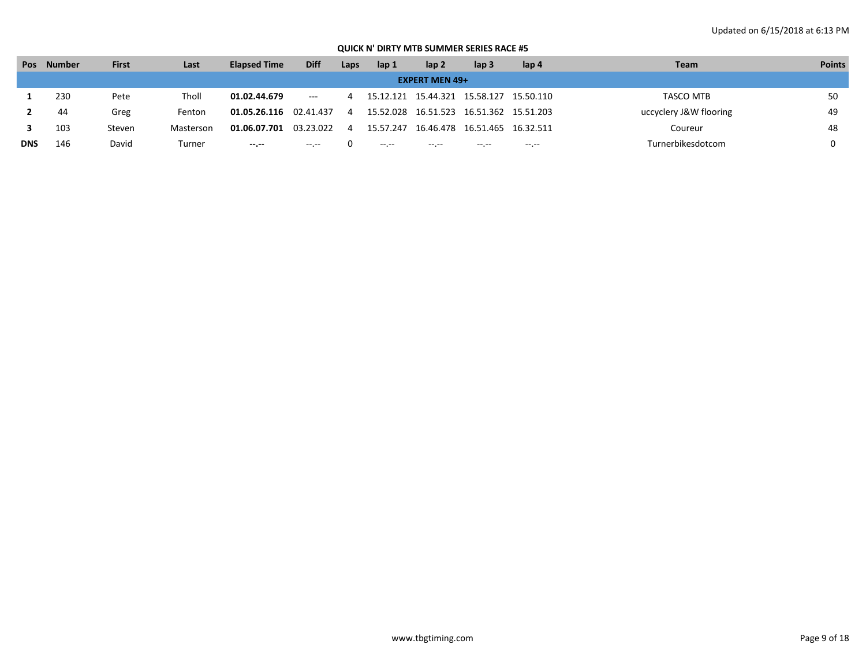| Pos        | <b>Number</b> | <b>First</b> | Last      | <b>Elapsed Time</b> | <b>Diff</b>                         | Laps | lap 1        | lap <sub>2</sub>      | lap <sub>3</sub>                           | lap 4  | <b>Team</b>            | <b>Points</b> |
|------------|---------------|--------------|-----------|---------------------|-------------------------------------|------|--------------|-----------------------|--------------------------------------------|--------|------------------------|---------------|
|            |               |              |           |                     |                                     |      |              | <b>EXPERT MEN 49+</b> |                                            |        |                        |               |
|            | 230           | Pete         | Tholl     | 01.02.44.679        | $\hspace{0.05cm}---\hspace{0.05cm}$ |      |              |                       | 15.12.121  15.44.321  15.58.127  15.50.110 |        | TASCO MTB              | 50            |
|            | 44            | Greg         | Fenton    | 01.05.26.116        | 02.41.437                           |      |              | 15.52.028 16.51.523   | 16.51.362 15.51.203                        |        | uccyclery J&W flooring | 49            |
|            | 103           | Steven       | Masterson | 01.06.07.701        | 03.23.022                           |      | 15.57.247    | 16.46.478             | 16.51.465 16.32.511                        |        | Coureur                | 48            |
| <b>DNS</b> | 146           | David        | Turner    | $-1$                | $-2.2 -$                            |      | $-2.2 - 1.2$ | $-1 - 1 - 1 = 0$      | $- - - - -$                                | $-1.1$ | Turnerbikesdotcom      |               |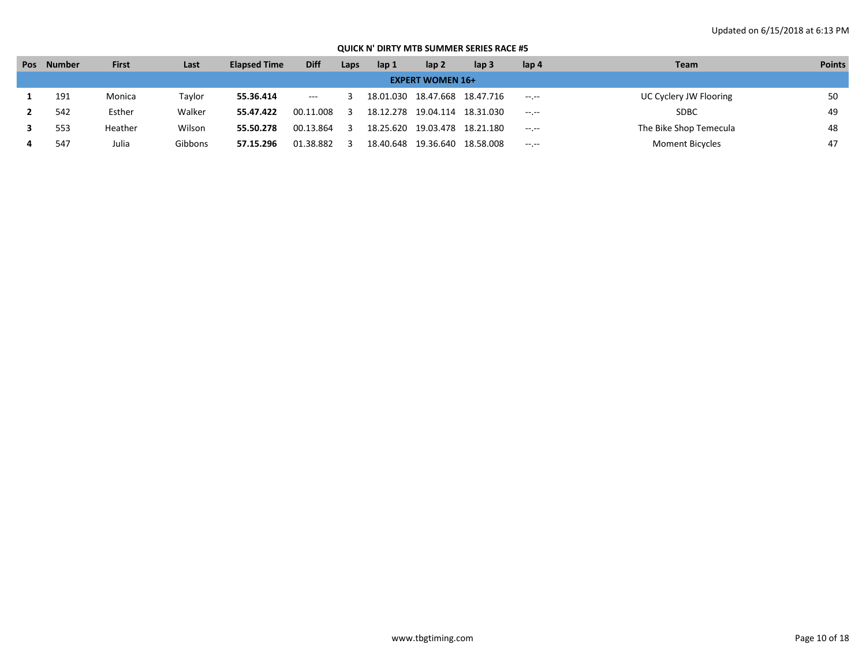| Pos | <b>Number</b> | <b>First</b> | Last    | <b>Elapsed Time</b> | <b>Diff</b> | Laps | lap 1 | lap <sub>2</sub>        | lap <sub>3</sub>                | lap <sub>4</sub> | <b>Team</b>            | <b>Points</b> |
|-----|---------------|--------------|---------|---------------------|-------------|------|-------|-------------------------|---------------------------------|------------------|------------------------|---------------|
|     |               |              |         |                     |             |      |       | <b>EXPERT WOMEN 16+</b> |                                 |                  |                        |               |
|     | 191           | Monica       | Taylor  | 55.36.414           | $---$       |      |       |                         | 18.01.030  18.47.668  18.47.716 | $-1 - 1 - 1 = 0$ | UC Cyclery JW Flooring | 50            |
|     | 542           | Esther       | Walker  | 55.47.422           | 00.11.008   |      |       | 18.12.278 19.04.114     | 18.31.030                       | $-1$ , $-1$      | <b>SDBC</b>            | 49            |
|     | 553           | Heather      | Wilson  | 55.50.278           | 00.13.864   |      |       |                         | 18.25.620 19.03.478 18.21.180   | $-1.1$           | The Bike Shop Temecula | 48            |
|     | 547           | Julia        | Gibbons | 57.15.296           | 01.38.882   |      |       |                         | 18.40.648  19.36.640  18.58.008 | $-1$ , $-1$      | <b>Moment Bicycles</b> | 47            |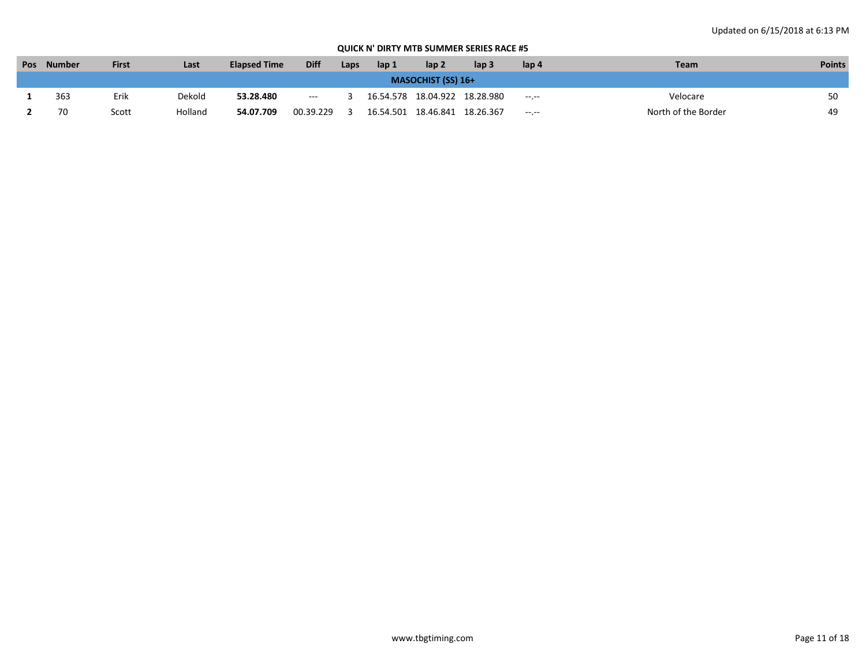| Pos | <b>Number</b>             | <b>First</b> | Last    | <b>Elapsed Time</b> | <b>Diff</b>                            | Laps | lap 1 | lap <sub>2</sub>                | lap 3 | lap 4        | <b>Team</b>         | <b>Points</b> |  |  |
|-----|---------------------------|--------------|---------|---------------------|----------------------------------------|------|-------|---------------------------------|-------|--------------|---------------------|---------------|--|--|
|     | <b>MASOCHIST (SS) 16+</b> |              |         |                     |                                        |      |       |                                 |       |              |                     |               |  |  |
|     | 363                       | Erik         | Dekold  | 53.28.480           | $\hspace{0.1em} \ldots \hspace{0.1em}$ |      |       | 16.54.578  18.04.922  18.28.980 |       | $-1.1 - 1.0$ | Velocare            |               |  |  |
|     | 70                        | Scott        | Holland | 54.07.709           | 00.39.229                              |      |       | 16.54.501  18.46.841  18.26.367 |       | $-1.1 - 1.0$ | North of the Border | 49            |  |  |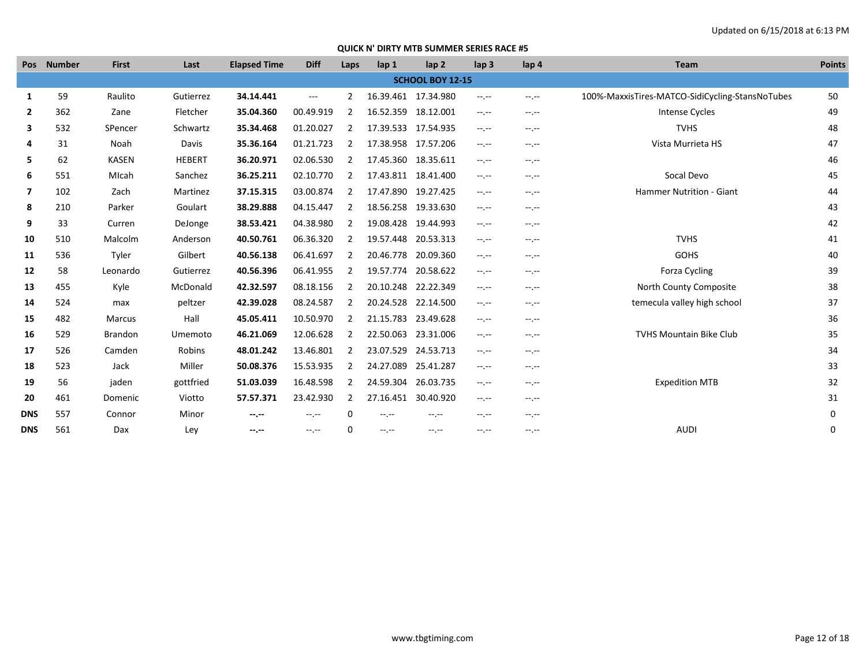|                | Pos Number | <b>First</b> | Last          | <b>Elapsed Time</b> | <b>Diff</b> | Laps           | lap 1               | lap <sub>2</sub>        | lap <sub>3</sub> | lap <sub>4</sub> | Team                                            | <b>Points</b> |
|----------------|------------|--------------|---------------|---------------------|-------------|----------------|---------------------|-------------------------|------------------|------------------|-------------------------------------------------|---------------|
|                |            |              |               |                     |             |                |                     | <b>SCHOOL BOY 12-15</b> |                  |                  |                                                 |               |
| 1              | 59         | Raulito      | Gutierrez     | 34.14.441           | $---$       | 2              | 16.39.461 17.34.980 |                         | $-1$             | $-1$             | 100%-MaxxisTires-MATCO-SidiCycling-StansNoTubes | 50            |
| $\mathbf{2}$   | 362        | Zane         | Fletcher      | 35.04.360           | 00.49.919   | $\overline{2}$ | 16.52.359 18.12.001 |                         | $-1$             | $-1.1 -$         | Intense Cycles                                  | 49            |
| 3              | 532        | SPencer      | Schwartz      | 35.34.468           | 01.20.027   | 2              | 17.39.533 17.54.935 |                         | $-1$             | $-1.1$           | <b>TVHS</b>                                     | 48            |
| 4              | 31         | Noah         | Davis         | 35.36.164           | 01.21.723   | $\overline{2}$ | 17.38.958 17.57.206 |                         | $-1$             | $-1.1 - 1.0$     | Vista Murrieta HS                               | 47            |
| 5              | 62         | <b>KASEN</b> | <b>HEBERT</b> | 36.20.971           | 02.06.530   | $\overline{2}$ | 17.45.360 18.35.611 |                         | $-1.1 -$         | $-1$             |                                                 | 46            |
| 6              | 551        | MIcah        | Sanchez       | 36.25.211           | 02.10.770   | 2              | 17.43.811 18.41.400 |                         | $-1.1 -$         | $-1.1 -$         | Socal Devo                                      | 45            |
| $\overline{7}$ | 102        | Zach         | Martinez      | 37.15.315           | 03.00.874   | 2              | 17.47.890           | 19.27.425               | $-1$ , $-1$      | $-1$ , $-1$      | <b>Hammer Nutrition - Giant</b>                 | 44            |
| 8              | 210        | Parker       | Goulart       | 38.29.888           | 04.15.447   | 2              | 18.56.258 19.33.630 |                         | $-1.1 -$         | $-1.1 -$         |                                                 | 43            |
| 9              | 33         | Curren       | DeJonge       | 38.53.421           | 04.38.980   | 2              | 19.08.428 19.44.993 |                         | $-1.1 -$         | $-1$             |                                                 | 42            |
| 10             | 510        | Malcolm      | Anderson      | 40.50.761           | 06.36.320   | 2              | 19.57.448 20.53.313 |                         | $-1.1 -$         | $-1, -1$         | <b>TVHS</b>                                     | 41            |
| 11             | 536        | Tyler        | Gilbert       | 40.56.138           | 06.41.697   | 2              | 20.46.778 20.09.360 |                         | $-1.1 -$         | $-1$             | <b>GOHS</b>                                     | 40            |
| 12             | 58         | Leonardo     | Gutierrez     | 40.56.396           | 06.41.955   | 2              | 19.57.774 20.58.622 |                         | $-1$             | $-1.1 -$         | Forza Cycling                                   | 39            |
| 13             | 455        | Kyle         | McDonald      | 42.32.597           | 08.18.156   | 2              | 20.10.248 22.22.349 |                         | $-1, -1$         | $-1.1 - 1.0$     | North County Composite                          | 38            |
| 14             | 524        | max          | peltzer       | 42.39.028           | 08.24.587   | $\overline{2}$ | 20.24.528           | 22.14.500               | $-1$             | $-1.1$           | temecula valley high school                     | 37            |
| 15             | 482        | Marcus       | Hall          | 45.05.411           | 10.50.970   | $\overline{2}$ | 21.15.783           | 23.49.628               | $-1$             | $-1.1 -$         |                                                 | 36            |
| 16             | 529        | Brandon      | Umemoto       | 46.21.069           | 12.06.628   | 2              | 22.50.063           | 23.31.006               | $-1.1 -$         | $-1$             | <b>TVHS Mountain Bike Club</b>                  | 35            |
| 17             | 526        | Camden       | Robins        | 48.01.242           | 13.46.801   | $\overline{2}$ | 23.07.529           | 24.53.713               | $-1$             | $-1.1 -$         |                                                 | 34            |
| 18             | 523        | Jack         | Miller        | 50.08.376           | 15.53.935   | 2              | 24.27.089           | 25.41.287               | --.--            | $-1$             |                                                 | 33            |
| 19             | 56         | jaden        | gottfried     | 51.03.039           | 16.48.598   | 2              | 24.59.304           | 26.03.735               | $-1.1 -$         | $-1.1 -$         | <b>Expedition MTB</b>                           | 32            |
| 20             | 461        | Domenic      | Viotto        | 57.57.371           | 23.42.930   | $\overline{2}$ | 27.16.451 30.40.920 |                         | $-1.1 -$         | $-1.1 -$         |                                                 | 31            |
| <b>DNS</b>     | 557        | Connor       | Minor         | --.--               | $-1$ , $-1$ | 0              | --.--               | $-1$ , $-1$             | $-1.1 -$         | $-1.1 -$         |                                                 | 0             |
| <b>DNS</b>     | 561        | Dax          | Ley           | --.--               | $-1$ , $-1$ | $\Omega$       | --.--               | $-1$ , $-1$             | --.--            | $-1$             | <b>AUDI</b>                                     | 0             |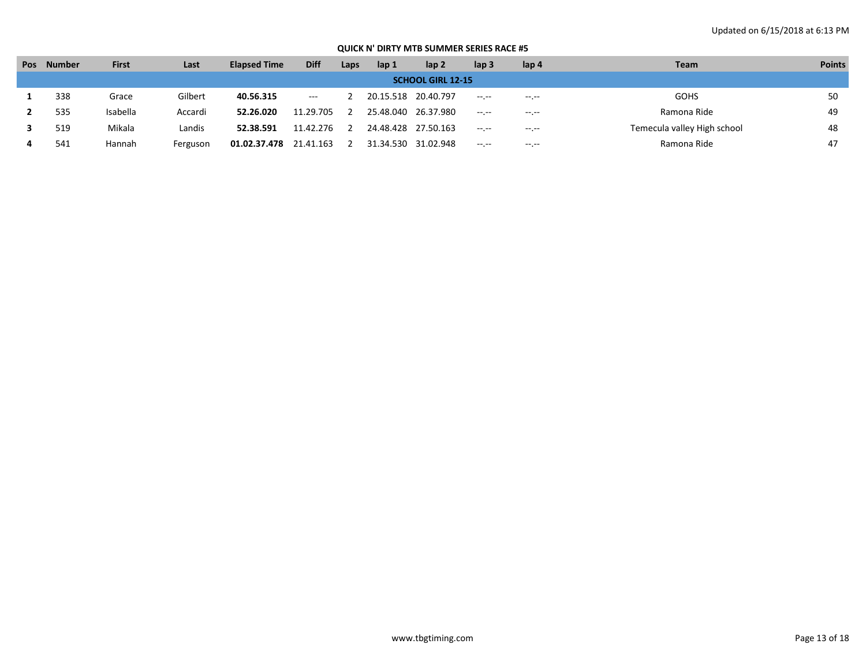| <b>Pos</b>               | Number | <b>First</b> | Last     | <b>Elapsed Time</b> | <b>Diff</b>   | Laps | lap 1 | lap <sub>2</sub>    | lap <sub>3</sub> | lap <sub>4</sub> | <b>Team</b>                 | <b>Points</b> |  |
|--------------------------|--------|--------------|----------|---------------------|---------------|------|-------|---------------------|------------------|------------------|-----------------------------|---------------|--|
| <b>SCHOOL GIRL 12-15</b> |        |              |          |                     |               |      |       |                     |                  |                  |                             |               |  |
|                          | 338    | Grace        | Gilbert  | 40.56.315           | $\sim$ $\sim$ |      |       | 20.15.518 20.40.797 | $-1 - 1 - 1 = 0$ | $-1$ , $-1$      | <b>GOHS</b>                 | 50            |  |
|                          | 535    | Isabella     | Accardi  | 52.26.020           | 11.29.705     |      |       | 25.48.040 26.37.980 | $- - - - -$      | $-1.1$           | Ramona Ride                 | 49            |  |
|                          | 519    | Mikala       | Landis   | 52.38.591           | 11.42.276     |      |       | 24.48.428 27.50.163 | $-1$ , $-1$      | $-1$ , $-1$      | Temecula valley High school | 48            |  |
|                          | 541    | Hannah       | Ferguson | 01.02.37.478        | 21.41.163     |      |       | 31.34.530 31.02.948 | $-1$ .           | $-1 - 1 - 1 = 0$ | Ramona Ride                 | 47            |  |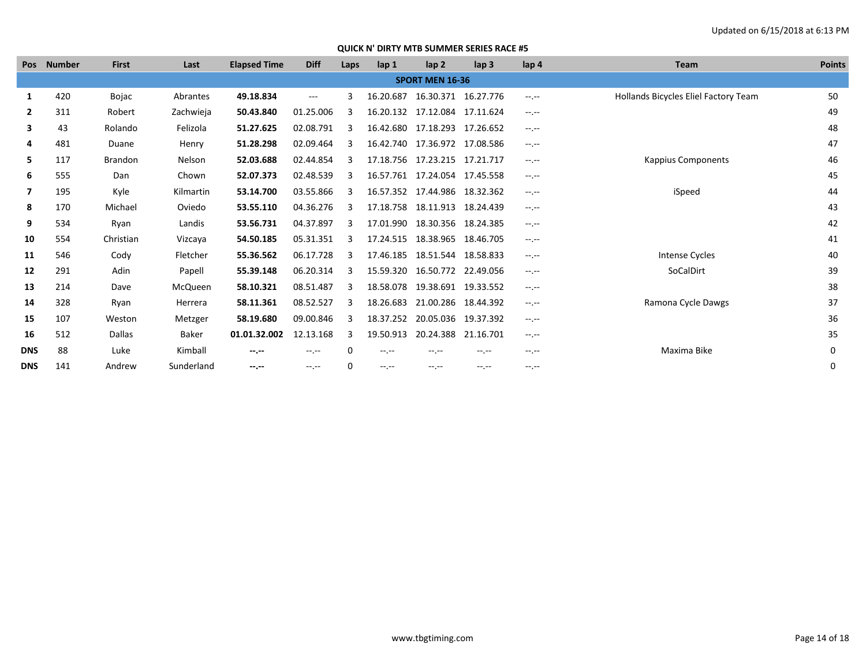|              | Pos Number | <b>First</b>   | Last       | <b>Elapsed Time</b> | <b>Diff</b> | Laps | lap 1       | lap <sub>2</sub>              | lap <sub>3</sub> | lap <sub>4</sub> | Team                                 | <b>Points</b> |
|--------------|------------|----------------|------------|---------------------|-------------|------|-------------|-------------------------------|------------------|------------------|--------------------------------------|---------------|
|              |            |                |            |                     |             |      |             | <b>SPORT MEN 16-36</b>        |                  |                  |                                      |               |
| 1            | 420        | Bojac          | Abrantes   | 49.18.834           | $---$       | ς    | 16.20.687   | 16.30.371 16.27.776           |                  | $-1$ , $-1$      | Hollands Bicycles Eliel Factory Team | 50            |
| $\mathbf{2}$ | 311        | Robert         | Zachwieja  | 50.43.840           | 01.25.006   |      |             | 16.20.132 17.12.084 17.11.624 |                  | $-1$ , $-1$      |                                      | 49            |
| 3            | 43         | Rolando        | Felizola   | 51.27.625           | 02.08.791   |      |             | 16.42.680 17.18.293           | 17.26.652        | $-1 - 1 - 1 = 0$ |                                      | 48            |
| 4            | 481        | Duane          | Henry      | 51.28.298           | 02.09.464   |      |             | 16.42.740 17.36.972           | 17.08.586        | $-1$ , $-1$      |                                      | 47            |
| 5.           | 117        | <b>Brandon</b> | Nelson     | 52.03.688           | 02.44.854   |      |             | 17.18.756 17.23.215           | 17.21.717        | $-1 - 1 - 1 = 0$ | <b>Kappius Components</b>            | 46            |
| 6            | 555        | Dan            | Chown      | 52.07.373           | 02.48.539   |      |             | 16.57.761 17.24.054 17.45.558 |                  | $-1.1$           |                                      | 45            |
| 7            | 195        | Kyle           | Kilmartin  | 53.14.700           | 03.55.866   | 3    |             | 16.57.352 17.44.986           | 18.32.362        | $-1$ , $-1$      | iSpeed                               | 44            |
| 8            | 170        | Michael        | Oviedo     | 53.55.110           | 04.36.276   |      |             | 17.18.758 18.11.913           | 18.24.439        | $-1.1$           |                                      | 43            |
| 9            | 534        | Ryan           | Landis     | 53.56.731           | 04.37.897   | 3    |             | 17.01.990 18.30.356           | 18.24.385        | $-1$ , $-1$      |                                      | 42            |
| 10           | 554        | Christian      | Vizcaya    | 54.50.185           | 05.31.351   |      |             | 17.24.515 18.38.965           | 18.46.705        | $-1$ , $-1$      |                                      | 41            |
| 11           | 546        | Cody           | Fletcher   | 55.36.562           | 06.17.728   |      |             | 17.46.185 18.51.544 18.58.833 |                  | $-1$ , $-1$      | <b>Intense Cycles</b>                | 40            |
| 12           | 291        | Adin           | Papell     | 55.39.148           | 06.20.314   |      |             | 15.59.320 16.50.772           | 22.49.056        | $-1$ , $-1$      | SoCalDirt                            | 39            |
| 13           | 214        | Dave           | McQueen    | 58.10.321           | 08.51.487   |      | 18.58.078   | 19.38.691                     | 19.33.552        | $-1$ , $-1$      |                                      | 38            |
| 14           | 328        | Ryan           | Herrera    | 58.11.361           | 08.52.527   |      | 18.26.683   | 21.00.286                     | 18.44.392        | $-1 - 1 - 1 = 0$ | Ramona Cycle Dawgs                   | 37            |
| 15           | 107        | Weston         | Metzger    | 58.19.680           | 09.00.846   |      | 18.37.252   | 20.05.036 19.37.392           |                  | $-1 - 1 - 1 = 0$ |                                      | 36            |
| 16           | 512        | Dallas         | Baker      | 01.01.32.002        | 12.13.168   | 3    | 19.50.913   | 20.24.388                     | 21.16.701        | $-1 - 1 - 1 = 0$ |                                      | 35            |
| <b>DNS</b>   | 88         | Luke           | Kimball    | --.--               | $-1$ , $-1$ |      | $-1$ , $-1$ | --.--                         | --.--            | $-1.1$           | Maxima Bike                          | $\mathbf 0$   |
| <b>DNS</b>   | 141        | Andrew         | Sunderland | $-1 - 1 - 1 = 0$    | $-1$ , $-1$ | O    | $-1$ , $-1$ | $-1. -1$                      | $-1$             | $-1$ , $-1$      |                                      | 0             |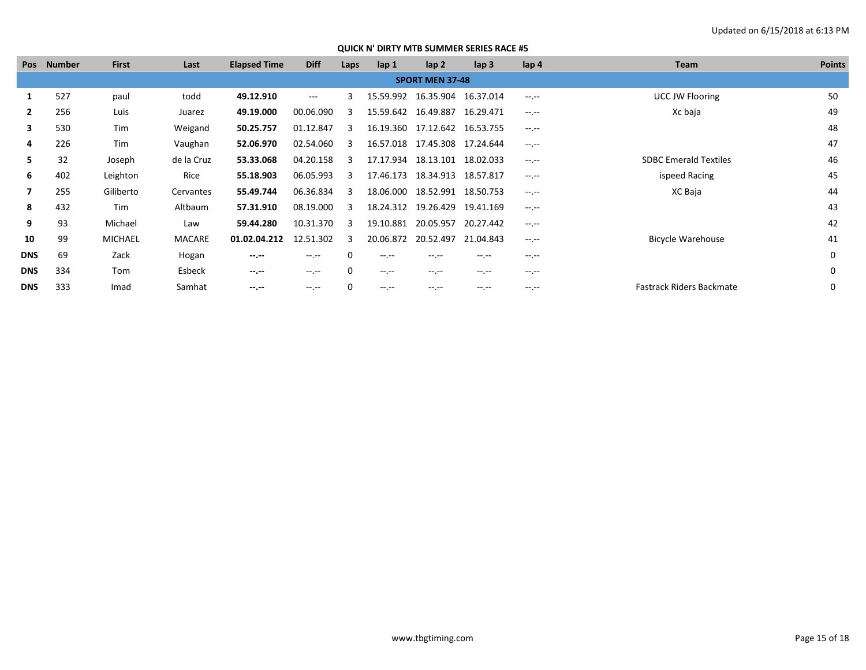| Pos        | <b>Number</b> | <b>First</b>   | Last          | <b>Elapsed Time</b> | <b>Diff</b> | Laps | $\mathsf{lap} 1$ | lap <sub>2</sub>              | lap <sub>3</sub> | lap 4       | Team                         | <b>Points</b> |
|------------|---------------|----------------|---------------|---------------------|-------------|------|------------------|-------------------------------|------------------|-------------|------------------------------|---------------|
|            |               |                |               |                     |             |      |                  | <b>SPORT MEN 37-48</b>        |                  |             |                              |               |
|            | 527           | paul           | todd          | 49.12.910           | $\cdots$    | ς    |                  | 15.59.992 16.35.904           | 16.37.014        | $-1.1$      | <b>UCC JW Flooring</b>       | 50            |
|            | 256           | Luis           | Juarez        | 49.19.000           | 00.06.090   | 3    |                  | 15.59.642 16.49.887           | 16.29.471        | $-1.1$      | Xc baja                      | 49            |
| 3          | 530           | Tim            | Weigand       | 50.25.757           | 01.12.847   | 3    |                  | 16.19.360 17.12.642           | 16.53.755        | $-1.1$      |                              | 48            |
| 4          | 226           | Tim            | Vaughan       | 52.06.970           | 02.54.060   | 3    |                  | 16.57.018 17.45.308 17.24.644 |                  | $-1$ , $-1$ |                              | 47            |
| 5.         | 32            | Joseph         | de la Cruz    | 53.33.068           | 04.20.158   | 3    |                  | 17.17.934 18.13.101           | 18.02.033        | $-1.1$      | <b>SDBC Emerald Textiles</b> | 46            |
| 6          | 402           | Leighton       | Rice          | 55.18.903           | 06.05.993   | 3    |                  | 17.46.173 18.34.913           | 18.57.817        | $-1.1$      | ispeed Racing                | 45            |
| 7          | 255           | Giliberto      | Cervantes     | 55.49.744           | 06.36.834   | 3    | 18.06.000        | 18.52.991                     | 18.50.753        | $-1$ , $-1$ | XC Baja                      | 44            |
| 8          | 432           | Tim            | Altbaum       | 57.31.910           | 08.19.000   | 3    |                  | 18.24.312 19.26.429           | 19.41.169        | $-1$ , $-1$ |                              | 43            |
| 9          | 93            | Michael        | Law           | 59.44.280           | 10.31.370   | 3    | 19.10.881        | 20.05.957                     | 20.27.442        | $-1.1$      |                              | 42            |
| 10         | 99            | <b>MICHAEL</b> | <b>MACARE</b> | 01.02.04.212        | 12.51.302   | 3    |                  | 20.06.872 20.52.497           | 21.04.843        | $-1$ , $-1$ | <b>Bicycle Warehouse</b>     | 41            |
| <b>DNS</b> | 69            | Zack           | Hogan         | $-1 - 1 - 1 = 0$    | $-1.1$      | 0    | $-1.1$           | --.--                         | $-1.1 -$         | $-1.1$      |                              | 0             |
| <b>DNS</b> | 334           | Tom            | Esbeck        | $-1 - 1 - 1 = 0$    | $-1.1$      | 0    | $-1$ , $-1$      | $-1.1$                        | $-1.1 -$         | $-1.1$      |                              | 0             |
| <b>DNS</b> | 333           | Imad           | Samhat        | $-1. -1$            | $-1.1$      | 0    | $-1.1 - 1.0$     | $-1. -1$                      | $-1.1 -$         | $-1$ , $-1$ | Fastrack Riders Backmate     | $\Omega$      |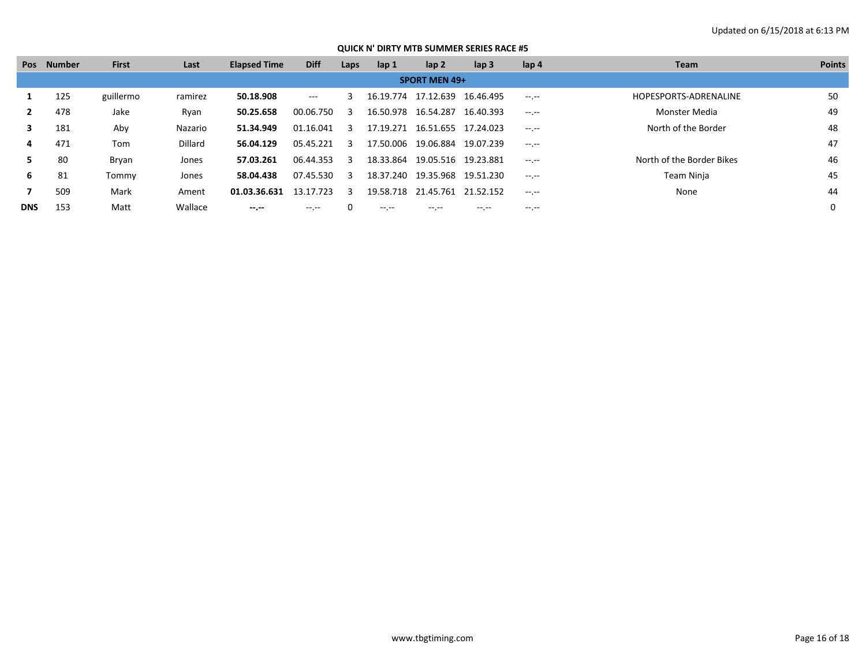# Updated on 6/15/2018 at 6:13 PM

|            | Pos Number | <b>First</b> | Last    | <b>Elapsed Time</b> | <b>Diff</b> | Laps                    | lap 1     | lap <sub>2</sub>     | $\mathsf{lap} 3$ | lap 4        | <b>Team</b>               | <b>Points</b> |
|------------|------------|--------------|---------|---------------------|-------------|-------------------------|-----------|----------------------|------------------|--------------|---------------------------|---------------|
|            |            |              |         |                     |             |                         |           | <b>SPORT MEN 49+</b> |                  |              |                           |               |
|            | 125        | guillermo    | ramirez | 50.18.908           | $  -$       | 3                       |           | 16.19.774 17.12.639  | 16.46.495        | $-1$ , $-1$  | HOPESPORTS-ADRENALINE     | 50            |
|            | 478        | Jake         | Ryan    | 50.25.658           | 00.06.750   | -3                      |           | 16.50.978 16.54.287  | 16.40.393        | $-1$ , $-1$  | Monster Media             | 49            |
| 3          | 181        | Aby          | Nazario | 51.34.949           | 01.16.041   | 3                       | 17.19.271 | 16.51.655            | 17.24.023        | $-1$ , $-1$  | North of the Border       | 48            |
| 4          | 471        | Tom          | Dillard | 56.04.129           | 05.45.221   | $\overline{\mathbf{3}}$ | 17.50.006 | 19.06.884            | 19.07.239        | $-1$ , $-1$  |                           | 47            |
|            | 80         | Bryan        | Jones   | 57.03.261           | 06.44.353   | $\mathbf{3}$            | 18.33.864 | 19.05.516            | 19.23.881        | $-1$ , $-1$  | North of the Border Bikes | 46            |
| 6          | 81         | Tommy        | Jones   | 58.04.438           | 07.45.530   | -3                      | 18.37.240 | 19.35.968            | 19.51.230        | $-1.1 - 1.0$ | Team Ninja                | 45            |
|            | 509        | Mark         | Ament   | 01.03.36.631        | 13.17.723   | ્વ                      |           | 19.58.718 21.45.761  | 21.52.152        | $-1$ , $-1$  | None                      | 44            |
| <b>DNS</b> | 153        | Matt         | Wallace | $- - - - -$         | $\cdots$    |                         | $\cdots$  | -- --                | -- --            | -- --        |                           |               |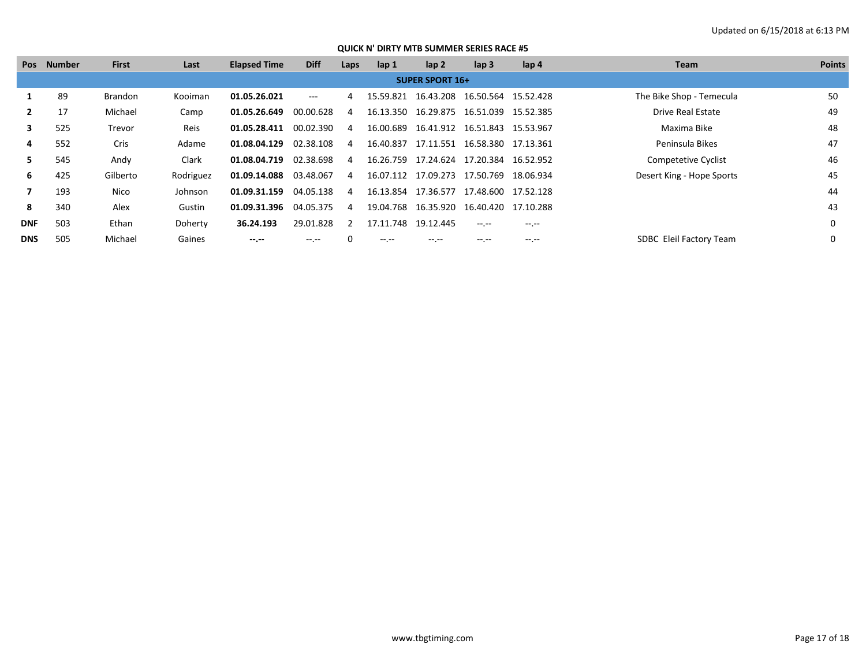# Updated on 6/15/2018 at 6:13 PM

|            | Pos Number | <b>First</b>   | Last        | <b>Elapsed Time</b> | <b>Diff</b> | Laps | lap 1               | lap <sub>2</sub>                           | lap <sub>3</sub> | lap 4       | <b>Team</b>               | <b>Points</b> |
|------------|------------|----------------|-------------|---------------------|-------------|------|---------------------|--------------------------------------------|------------------|-------------|---------------------------|---------------|
|            |            |                |             |                     |             |      |                     | <b>SUPER SPORT 16+</b>                     |                  |             |                           |               |
|            | 89         | <b>Brandon</b> | Kooiman     | 01.05.26.021        | ---         | 4    |                     | 15.59.821  16.43.208  16.50.564  15.52.428 |                  |             | The Bike Shop - Temecula  | 50            |
|            | 17         | Michael        | Camp        | 01.05.26.649        | 00.00.628   | 4    |                     | 16.13.350  16.29.875  16.51.039  15.52.385 |                  |             | Drive Real Estate         | 49            |
| 3          | 525        | Trevor         | <b>Reis</b> | 01.05.28.411        | 00.02.390   | 4    |                     | 16.00.689  16.41.912  16.51.843  15.53.967 |                  |             | Maxima Bike               | 48            |
| 4          | 552        | Cris           | Adame       | 01.08.04.129        | 02.38.108   | 4    | 16.40.837           | 17.11.551  16.58.380  17.13.361            |                  |             | Peninsula Bikes           | 47            |
| 5.         | 545        | Andy           | Clark       | 01.08.04.719        | 02.38.698   | 4    |                     | 16.26.759 17.24.624                        | 17.20.384        | 16.52.952   | Competetive Cyclist       | 46            |
| 6.         | 425        | Gilberto       | Rodriguez   | 01.09.14.088        | 03.48.067   | 4    |                     | 16.07.112 17.09.273 17.50.769              |                  | 18.06.934   | Desert King - Hope Sports | 45            |
|            | 193        | Nico           | Johnson     | 01.09.31.159        | 04.05.138   | 4    |                     | 16.13.854 17.36.577 17.48.600 17.52.128    |                  |             |                           | 44            |
| 8          | 340        | Alex           | Gustin      | 01.09.31.396        | 04.05.375   | 4    |                     | 19.04.768  16.35.920  16.40.420  17.10.288 |                  |             |                           | 43            |
| <b>DNF</b> | 503        | Ethan          | Doherty     | 36.24.193           | 29.01.828   | 2    | 17.11.748 19.12.445 |                                            | $-1$ , $-1$      | $-1$ , $-1$ |                           | 0             |
| <b>DNS</b> | 505        | Michael        | Gaines      | $- - - - -$         | -- --       |      | $\cdots$            | -- --                                      | -- --            | $-1$ . $-1$ | SDBC Eleil Factory Team   | 0             |